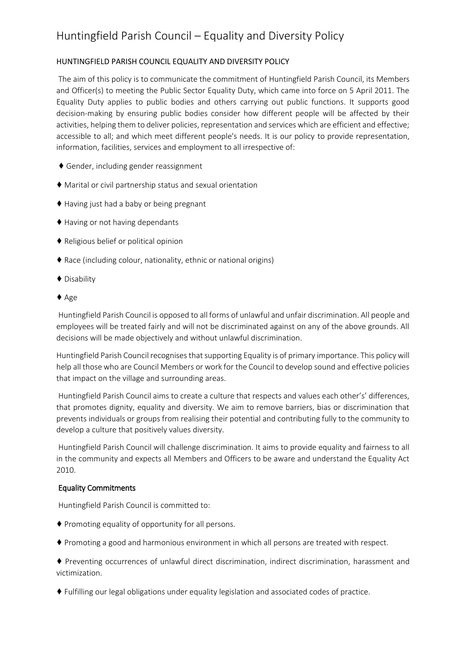# Huntingfield Parish Council – Equality and Diversity Policy

## HUNTINGFIELD PARISH COUNCIL EQUALITY AND DIVERSITY POLICY

The aim of this policy is to communicate the commitment of Huntingfield Parish Council, its Members and Officer(s) to meeting the Public Sector Equality Duty, which came into force on 5 April 2011. The Equality Duty applies to public bodies and others carrying out public functions. It supports good decision‐making by ensuring public bodies consider how different people will be affected by their activities, helping them to deliver policies, representation and services which are efficient and effective; accessible to all; and which meet different people's needs. It is our policy to provide representation, information, facilities, services and employment to all irrespective of:

- ♦ Gender, including gender reassignment
- ♦ Marital or civil partnership status and sexual orientation
- ♦ Having just had a baby or being pregnant
- ♦ Having or not having dependants
- ♦ Religious belief or political opinion
- ♦ Race (including colour, nationality, ethnic or national origins)
- ♦ Disability
- ♦ Age

Huntingfield Parish Council is opposed to all forms of unlawful and unfair discrimination. All people and employees will be treated fairly and will not be discriminated against on any of the above grounds. All decisions will be made objectively and without unlawful discrimination.

Huntingfield Parish Council recognises that supporting Equality is of primary importance. This policy will help all those who are Council Members or work for the Council to develop sound and effective policies that impact on the village and surrounding areas.

Huntingfield Parish Council aims to create a culture that respects and values each other's' differences, that promotes dignity, equality and diversity. We aim to remove barriers, bias or discrimination that prevents individuals or groups from realising their potential and contributing fully to the community to develop a culture that positively values diversity.

Huntingfield Parish Council will challenge discrimination. It aims to provide equality and fairness to all in the community and expects all Members and Officers to be aware and understand the Equality Act 2010.

## Equality Commitments

Huntingfield Parish Council is committed to:

- ♦ Promoting equality of opportunity for all persons.
- ♦ Promoting a good and harmonious environment in which all persons are treated with respect.

♦ Preventing occurrences of unlawful direct discrimination, indirect discrimination, harassment and victimization.

♦ Fulfilling our legal obligations under equality legislation and associated codes of practice.